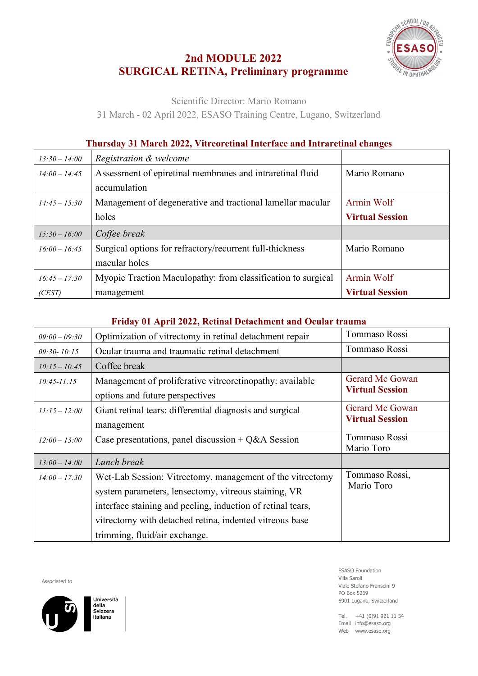## **2nd MODULE 2022 SURGICAL RETINA, Preliminary programme**



Scientific Director: Mario Romano

31 March - 02 April 2022, ESASO Training Centre, Lugano, Switzerland

## **Thursday 31 March 2022, Vitreoretinal Interface and Intraretinal changes**

| $13:30 - 14:00$ | Registration & welcome                                       |                        |
|-----------------|--------------------------------------------------------------|------------------------|
| $14:00 - 14:45$ | Assessment of epiretinal membranes and intraretinal fluid    | Mario Romano           |
|                 | accumulation                                                 |                        |
| $14:45 - 15:30$ | Management of degenerative and tractional lamellar macular   | Armin Wolf             |
|                 | holes                                                        | <b>Virtual Session</b> |
|                 |                                                              |                        |
| $15:30 - 16:00$ | Coffee break                                                 |                        |
| $16:00 - 16:45$ | Surgical options for refractory/recurrent full-thickness     | Mario Romano           |
|                 | macular holes                                                |                        |
| $16:45 - 17:30$ | Myopic Traction Maculopathy: from classification to surgical | Armin Wolf             |

## **Friday 01 April 2022, Retinal Detachment and Ocular trauma**

| $09:00 - 09:30$ | Optimization of vitrectomy in retinal detachment repair                                                                                                 | Tommaso Rossi                                    |
|-----------------|---------------------------------------------------------------------------------------------------------------------------------------------------------|--------------------------------------------------|
| $09:30 - 10:15$ | Ocular trauma and traumatic retinal detachment                                                                                                          | Tommaso Rossi                                    |
| $10:15 - 10:45$ | Coffee break                                                                                                                                            |                                                  |
| $10:45 - 11:15$ | Management of proliferative vitreoretinopathy: available<br>options and future perspectives                                                             | <b>Gerard Mc Gowan</b><br><b>Virtual Session</b> |
| $11:15 - 12:00$ | Giant retinal tears: differential diagnosis and surgical<br>management                                                                                  | Gerard Mc Gowan<br><b>Virtual Session</b>        |
| $12:00 - 13:00$ | Case presentations, panel discussion + $Q&A$ Session                                                                                                    | Tommaso Rossi<br>Mario Toro                      |
| $13:00 - 14:00$ | Lunch break                                                                                                                                             |                                                  |
| $14:00 - 17:30$ | Wet-Lab Session: Vitrectomy, management of the vitrectomy<br>system parameters, lensectomy, vitreous staining, VR                                       | Tommaso Rossi,<br>Mario Toro                     |
|                 | interface staining and peeling, induction of retinal tears,<br>vitrectomy with detached retina, indented vitreous base<br>trimming, fluid/air exchange. |                                                  |

Associated to



Università della<br>Svizzera *stizzon* 

ESASO Foundation Villa Saroli Viale Stefano Franscini 9 PO Box 5269 6901 Lugano, Switzerland

Tel. +41 (0)91 921 11 54 Email info@esaso.org Web www.esaso.org